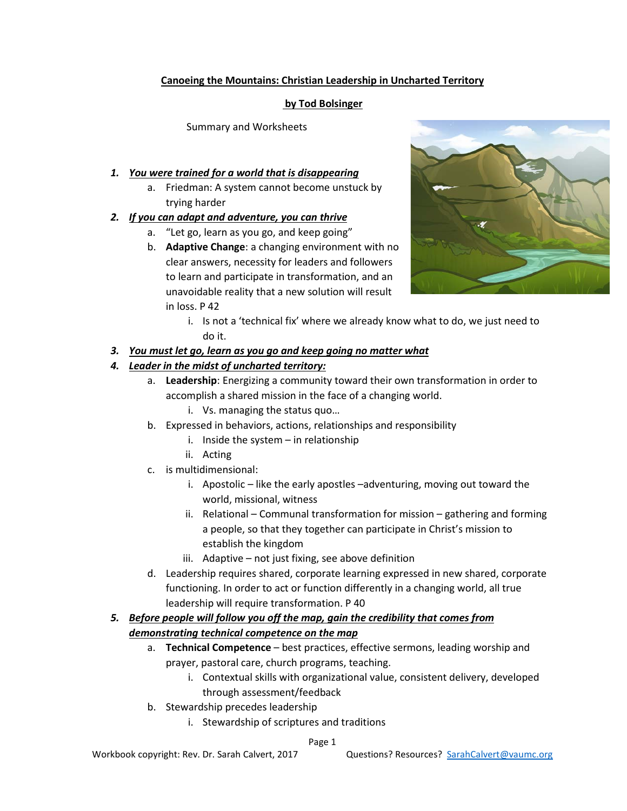### **Canoeing the Mountains: Christian Leadership in Uncharted Territory**

#### **by Tod Bolsinger**

Summary and Worksheets

### *1. You were trained for a world that is disappearing*

a. Friedman: A system cannot become unstuck by trying harder

# *2. If you can adapt and adventure, you can thrive*

- a. "Let go, learn as you go, and keep going"
- b. **Adaptive Change**: a changing environment with no clear answers, necessity for leaders and followers to learn and participate in transformation, and an unavoidable reality that a new solution will result in loss. P 42



i. Is not a 'technical fix' where we already know what to do, we just need to do it.

# *3. You must let go, learn as you go and keep going no matter what*

# *4. Leader in the midst of uncharted territory:*

- a. **Leadership**: Energizing a community toward their own transformation in order to accomplish a shared mission in the face of a changing world.
	- i. Vs. managing the status quo…
- b. Expressed in behaviors, actions, relationships and responsibility
	- i. Inside the system  $-$  in relationship
	- ii. Acting
- c. is multidimensional:
	- i. Apostolic like the early apostles –adventuring, moving out toward the world, missional, witness
	- ii. Relational Communal transformation for mission gathering and forming a people, so that they together can participate in Christ's mission to establish the kingdom
	- iii. Adaptive not just fixing, see above definition
- d. Leadership requires shared, corporate learning expressed in new shared, corporate functioning. In order to act or function differently in a changing world, all true leadership will require transformation. P 40

# *5. Before people will follow you off the map, gain the credibility that comes from demonstrating technical competence on the map*

- a. **Technical Competence** best practices, effective sermons, leading worship and prayer, pastoral care, church programs, teaching.
	- i. Contextual skills with organizational value, consistent delivery, developed through assessment/feedback
- b. Stewardship precedes leadership
	- i. Stewardship of scriptures and traditions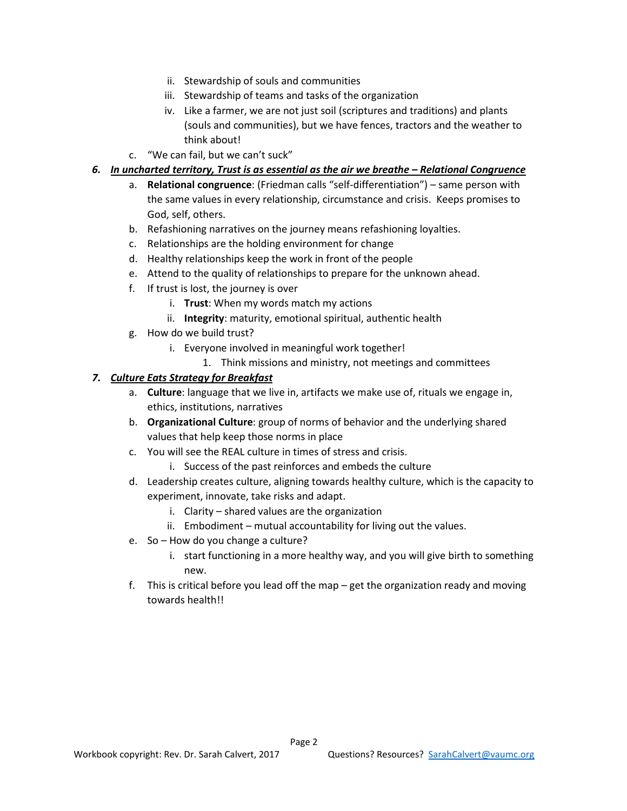- ii. Stewardship of souls and communities
- iii. Stewardship of teams and tasks of the organization
- iv. Like a farmer, we are not just soil (scriptures and traditions) and plants (souls and communities), but we have fences, tractors and the weather to think about!
- c. "We can fail, but we can't suck"
- *6. In uncharted territory, Trust is as essential as the air we breathe – Relational Congruence* 
	- a. **Relational congruence**: (Friedman calls "self-differentiation") same person with the same values in every relationship, circumstance and crisis. Keeps promises to God, self, others.
	- b. Refashioning narratives on the journey means refashioning loyalties.
	- c. Relationships are the holding environment for change
	- d. Healthy relationships keep the work in front of the people
	- e. Attend to the quality of relationships to prepare for the unknown ahead.
	- f. If trust is lost, the journey is over
		- i. **Trust**: When my words match my actions
		- ii. **Integrity**: maturity, emotional spiritual, authentic health
	- g. How do we build trust?
		- i. Everyone involved in meaningful work together!
			- 1. Think missions and ministry, not meetings and committees

#### *7. Culture Eats Strategy for Breakfast*

- a. **Culture**: language that we live in, artifacts we make use of, rituals we engage in, ethics, institutions, narratives
- b. **Organizational Culture**: group of norms of behavior and the underlying shared values that help keep those norms in place
- c. You will see the REAL culture in times of stress and crisis.
	- i. Success of the past reinforces and embeds the culture
- d. Leadership creates culture, aligning towards healthy culture, which is the capacity to experiment, innovate, take risks and adapt.
	- i. Clarity shared values are the organization
	- ii. Embodiment mutual accountability for living out the values.
- e. So How do you change a culture?
	- i. start functioning in a more healthy way, and you will give birth to something new.
- f. This is critical before you lead off the map get the organization ready and moving towards health!!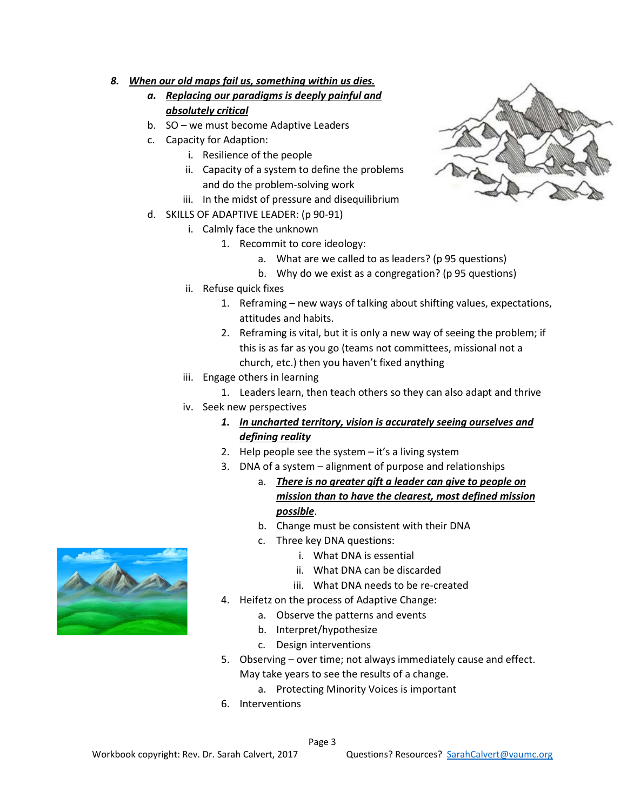#### *8. When our old maps fail us, something within us dies.*

- *a. Replacing our paradigms is deeply painful and absolutely critical*
- b. SO we must become Adaptive Leaders
- c. Capacity for Adaption:
	- i. Resilience of the people
	- ii. Capacity of a system to define the problems and do the problem-solving work
	- iii. In the midst of pressure and disequilibrium
- d. SKILLS OF ADAPTIVE LEADER: (p 90-91)
	- i. Calmly face the unknown
		- 1. Recommit to core ideology:
			- a. What are we called to as leaders? (p 95 questions)
			- b. Why do we exist as a congregation? (p 95 questions)
	- ii. Refuse quick fixes
		- 1. Reframing new ways of talking about shifting values, expectations, attitudes and habits.
		- 2. Reframing is vital, but it is only a new way of seeing the problem; if this is as far as you go (teams not committees, missional not a church, etc.) then you haven't fixed anything
	- iii. Engage others in learning
		- 1. Leaders learn, then teach others so they can also adapt and thrive
	- iv. Seek new perspectives
		- *1. In uncharted territory, vision is accurately seeing ourselves and defining reality*
		- 2. Help people see the system it's a living system
		- 3. DNA of a system alignment of purpose and relationships
			- a. *There is no greater gift a leader can give to people on mission than to have the clearest, most defined mission possible*.
			- b. Change must be consistent with their DNA
			- c. Three key DNA questions:
				- i. What DNA is essential
				- ii. What DNA can be discarded
				- iii. What DNA needs to be re-created
		- 4. Heifetz on the process of Adaptive Change:
			- a. Observe the patterns and events
			- b. Interpret/hypothesize
			- c. Design interventions
		- 5. Observing over time; not always immediately cause and effect. May take years to see the results of a change.
			- a. Protecting Minority Voices is important
		- 6. Interventions



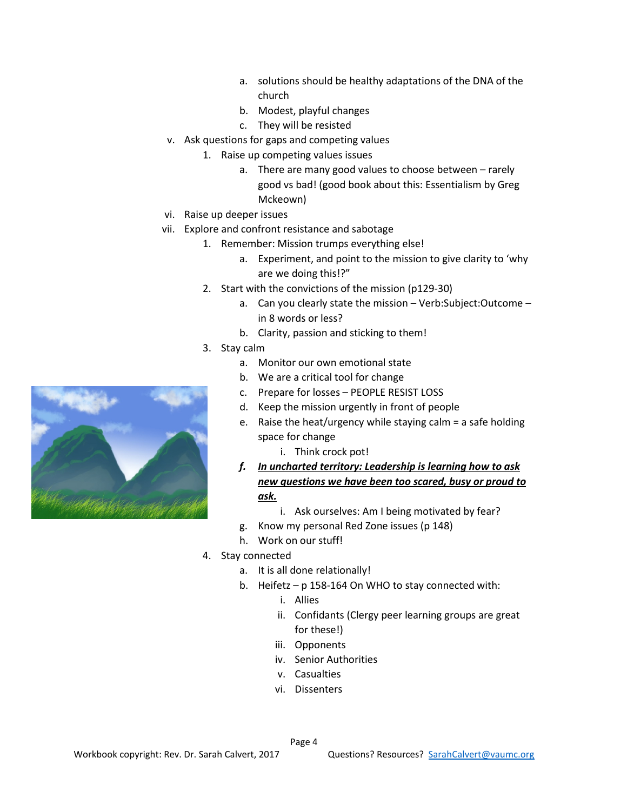- a. solutions should be healthy adaptations of the DNA of the church
- b. Modest, playful changes
- c. They will be resisted
- v. Ask questions for gaps and competing values
	- 1. Raise up competing values issues
		- a. There are many good values to choose between rarely good vs bad! (good book about this: Essentialism by Greg Mckeown)
- vi. Raise up deeper issues
- vii. Explore and confront resistance and sabotage
	- 1. Remember: Mission trumps everything else!
		- a. Experiment, and point to the mission to give clarity to 'why are we doing this!?"
	- 2. Start with the convictions of the mission (p129-30)
		- a. Can you clearly state the mission Verb:Subject:Outcome in 8 words or less?
		- b. Clarity, passion and sticking to them!
	- 3. Stay calm
		- a. Monitor our own emotional state
		- b. We are a critical tool for change
		- c. Prepare for losses PEOPLE RESIST LOSS
		- d. Keep the mission urgently in front of people
		- e. Raise the heat/urgency while staying calm = a safe holding space for change
			- i. Think crock pot!
		- *f. In uncharted territory: Leadership is learning how to ask new questions we have been too scared, busy or proud to ask.*
			- i. Ask ourselves: Am I being motivated by fear?
		- g. Know my personal Red Zone issues (p 148)
		- h. Work on our stuff!
	- 4. Stay connected
		- a. It is all done relationally!
		- b. Heifetz p 158-164 On WHO to stay connected with:
			- i. Allies
			- ii. Confidants (Clergy peer learning groups are great for these!)
			- iii. Opponents
			- iv. Senior Authorities
			- v. Casualties
			- vi. Dissenters

Page 4

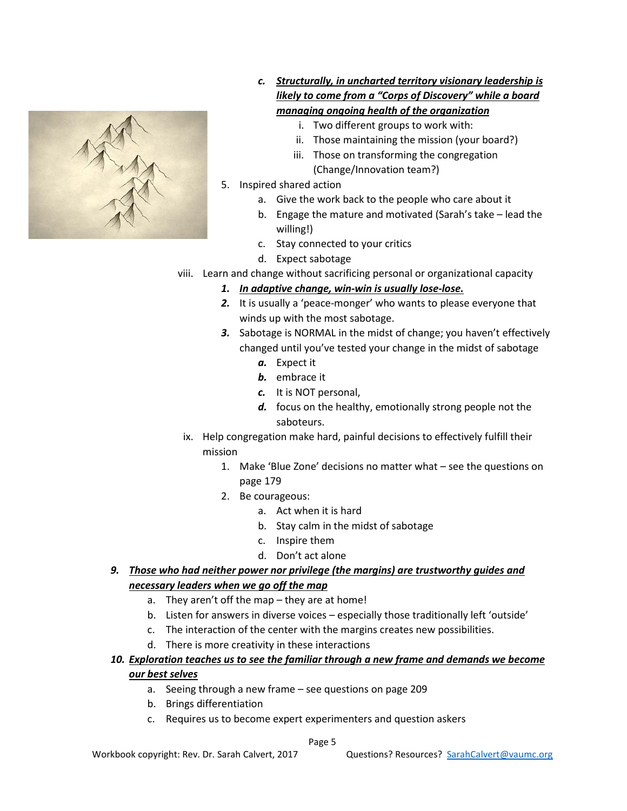

- *c. Structurally, in uncharted territory visionary leadership is likely to come from a "Corps of Discovery" while a board managing ongoing health of the organization*
	- i. Two different groups to work with:
	- ii. Those maintaining the mission (your board?)
	- iii. Those on transforming the congregation (Change/Innovation team?)
- 5. Inspired shared action
	- a. Give the work back to the people who care about it
	- b. Engage the mature and motivated (Sarah's take lead the willing!)
	- c. Stay connected to your critics
	- d. Expect sabotage
- viii. Learn and change without sacrificing personal or organizational capacity
	- *1. In adaptive change, win-win is usually lose-lose.*
	- *2.* It is usually a 'peace-monger' who wants to please everyone that winds up with the most sabotage.
	- *3.* Sabotage is NORMAL in the midst of change; you haven't effectively changed until you've tested your change in the midst of sabotage
		- *a.* Expect it
		- *b.* embrace it
		- *c.* It is NOT personal,
		- *d.* focus on the healthy, emotionally strong people not the saboteurs.
	- ix. Help congregation make hard, painful decisions to effectively fulfill their mission
		- 1. Make 'Blue Zone' decisions no matter what see the questions on page 179
		- 2. Be courageous:
			- a. Act when it is hard
			- b. Stay calm in the midst of sabotage
			- c. Inspire them
			- d. Don't act alone
- *9. Those who had neither power nor privilege (the margins) are trustworthy guides and necessary leaders when we go off the map*
	- a. They aren't off the map they are at home!
	- b. Listen for answers in diverse voices especially those traditionally left 'outside'
	- c. The interaction of the center with the margins creates new possibilities.
	- d. There is more creativity in these interactions
- *10. Exploration teaches us to see the familiar through a new frame and demands we become our best selves*
	- a. Seeing through a new frame see questions on page 209
	- b. Brings differentiation
	- c. Requires us to become expert experimenters and question askers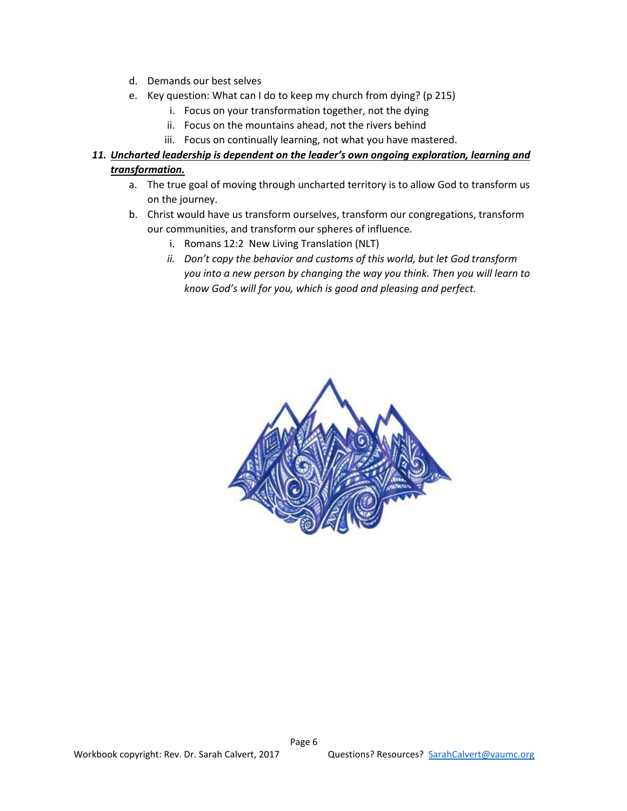- d. Demands our best selves
- e. Key question: What can I do to keep my church from dying? (p 215)
	- i. Focus on your transformation together, not the dying
	- ii. Focus on the mountains ahead, not the rivers behind
	- iii. Focus on continually learning, not what you have mastered.
- *11. Uncharted leadership is dependent on the leader's own ongoing exploration, learning and transformation.*
	- a. The true goal of moving through uncharted territory is to allow God to transform us on the journey.
	- b. Christ would have us transform ourselves, transform our congregations, transform our communities, and transform our spheres of influence.
		- i. Romans 12:2 New Living Translation (NLT)
		- *ii. Don't copy the behavior and customs of this world, but let God transform you into a new person by changing the way you think. Then you will learn to know God's will for you, which is good and pleasing and perfect.*

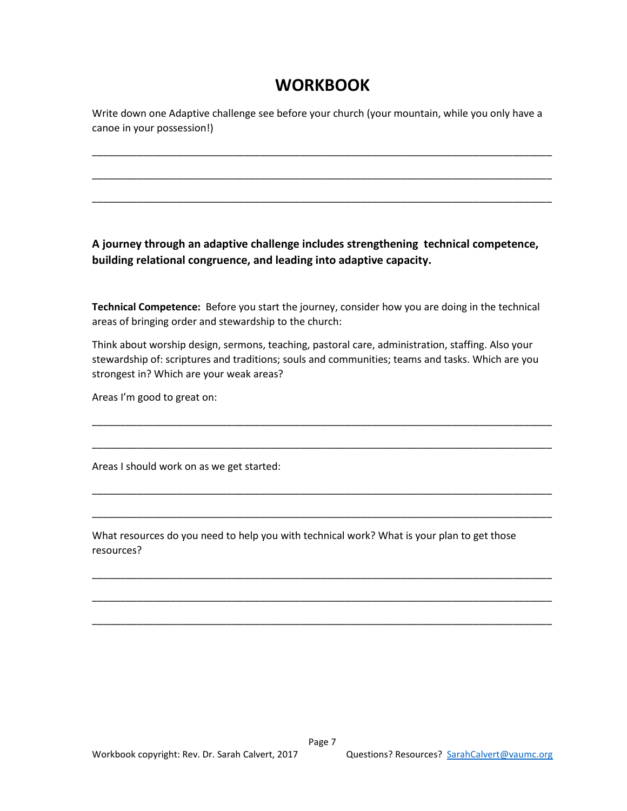# **WORKBOOK**

Write down one Adaptive challenge see before your church (your mountain, while you only have a canoe in your possession!)

\_\_\_\_\_\_\_\_\_\_\_\_\_\_\_\_\_\_\_\_\_\_\_\_\_\_\_\_\_\_\_\_\_\_\_\_\_\_\_\_\_\_\_\_\_\_\_\_\_\_\_\_\_\_\_\_\_\_\_\_\_\_\_\_\_\_\_\_\_\_\_\_\_\_\_\_\_\_\_\_\_\_

\_\_\_\_\_\_\_\_\_\_\_\_\_\_\_\_\_\_\_\_\_\_\_\_\_\_\_\_\_\_\_\_\_\_\_\_\_\_\_\_\_\_\_\_\_\_\_\_\_\_\_\_\_\_\_\_\_\_\_\_\_\_\_\_\_\_\_\_\_\_\_\_\_\_\_\_\_\_\_\_\_\_

\_\_\_\_\_\_\_\_\_\_\_\_\_\_\_\_\_\_\_\_\_\_\_\_\_\_\_\_\_\_\_\_\_\_\_\_\_\_\_\_\_\_\_\_\_\_\_\_\_\_\_\_\_\_\_\_\_\_\_\_\_\_\_\_\_\_\_\_\_\_\_\_\_\_\_\_\_\_\_\_\_\_

**A journey through an adaptive challenge includes strengthening technical competence, building relational congruence, and leading into adaptive capacity.**

**Technical Competence:** Before you start the journey, consider how you are doing in the technical areas of bringing order and stewardship to the church:

Think about worship design, sermons, teaching, pastoral care, administration, staffing. Also your stewardship of: scriptures and traditions; souls and communities; teams and tasks. Which are you strongest in? Which are your weak areas?

\_\_\_\_\_\_\_\_\_\_\_\_\_\_\_\_\_\_\_\_\_\_\_\_\_\_\_\_\_\_\_\_\_\_\_\_\_\_\_\_\_\_\_\_\_\_\_\_\_\_\_\_\_\_\_\_\_\_\_\_\_\_\_\_\_\_\_\_\_\_\_\_\_\_\_\_\_\_\_\_\_\_

\_\_\_\_\_\_\_\_\_\_\_\_\_\_\_\_\_\_\_\_\_\_\_\_\_\_\_\_\_\_\_\_\_\_\_\_\_\_\_\_\_\_\_\_\_\_\_\_\_\_\_\_\_\_\_\_\_\_\_\_\_\_\_\_\_\_\_\_\_\_\_\_\_\_\_\_\_\_\_\_\_\_

\_\_\_\_\_\_\_\_\_\_\_\_\_\_\_\_\_\_\_\_\_\_\_\_\_\_\_\_\_\_\_\_\_\_\_\_\_\_\_\_\_\_\_\_\_\_\_\_\_\_\_\_\_\_\_\_\_\_\_\_\_\_\_\_\_\_\_\_\_\_\_\_\_\_\_\_\_\_\_\_\_\_

\_\_\_\_\_\_\_\_\_\_\_\_\_\_\_\_\_\_\_\_\_\_\_\_\_\_\_\_\_\_\_\_\_\_\_\_\_\_\_\_\_\_\_\_\_\_\_\_\_\_\_\_\_\_\_\_\_\_\_\_\_\_\_\_\_\_\_\_\_\_\_\_\_\_\_\_\_\_\_\_\_\_

\_\_\_\_\_\_\_\_\_\_\_\_\_\_\_\_\_\_\_\_\_\_\_\_\_\_\_\_\_\_\_\_\_\_\_\_\_\_\_\_\_\_\_\_\_\_\_\_\_\_\_\_\_\_\_\_\_\_\_\_\_\_\_\_\_\_\_\_\_\_\_\_\_\_\_\_\_\_\_\_\_\_

\_\_\_\_\_\_\_\_\_\_\_\_\_\_\_\_\_\_\_\_\_\_\_\_\_\_\_\_\_\_\_\_\_\_\_\_\_\_\_\_\_\_\_\_\_\_\_\_\_\_\_\_\_\_\_\_\_\_\_\_\_\_\_\_\_\_\_\_\_\_\_\_\_\_\_\_\_\_\_\_\_\_

\_\_\_\_\_\_\_\_\_\_\_\_\_\_\_\_\_\_\_\_\_\_\_\_\_\_\_\_\_\_\_\_\_\_\_\_\_\_\_\_\_\_\_\_\_\_\_\_\_\_\_\_\_\_\_\_\_\_\_\_\_\_\_\_\_\_\_\_\_\_\_\_\_\_\_\_\_\_\_\_\_\_

Areas I'm good to great on:

Areas I should work on as we get started:

What resources do you need to help you with technical work? What is your plan to get those resources?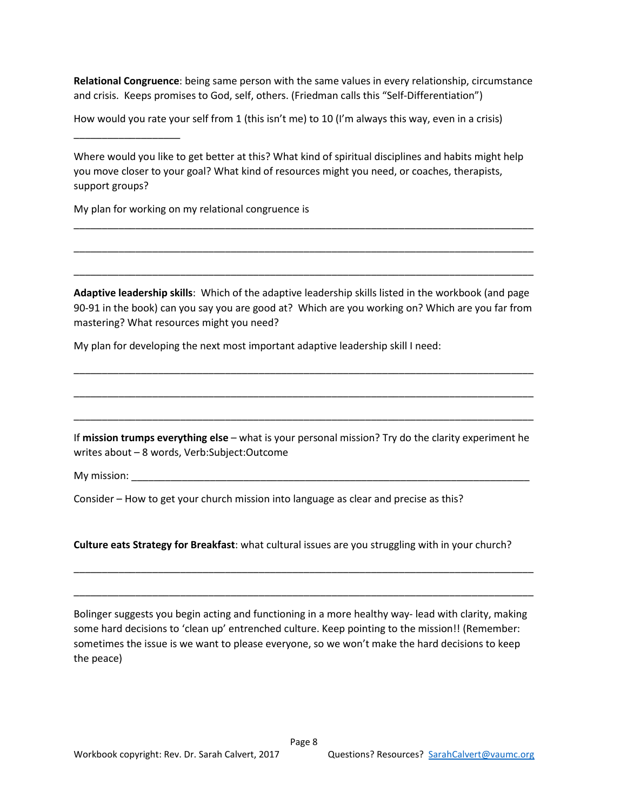**Relational Congruence**: being same person with the same values in every relationship, circumstance and crisis. Keeps promises to God, self, others. (Friedman calls this "Self-Differentiation")

How would you rate your self from 1 (this isn't me) to 10 (I'm always this way, even in a crisis)

Where would you like to get better at this? What kind of spiritual disciplines and habits might help you move closer to your goal? What kind of resources might you need, or coaches, therapists, support groups?

\_\_\_\_\_\_\_\_\_\_\_\_\_\_\_\_\_\_\_\_\_\_\_\_\_\_\_\_\_\_\_\_\_\_\_\_\_\_\_\_\_\_\_\_\_\_\_\_\_\_\_\_\_\_\_\_\_\_\_\_\_\_\_\_\_\_\_\_\_\_\_\_\_\_\_\_\_\_\_\_\_\_

\_\_\_\_\_\_\_\_\_\_\_\_\_\_\_\_\_\_\_\_\_\_\_\_\_\_\_\_\_\_\_\_\_\_\_\_\_\_\_\_\_\_\_\_\_\_\_\_\_\_\_\_\_\_\_\_\_\_\_\_\_\_\_\_\_\_\_\_\_\_\_\_\_\_\_\_\_\_\_\_\_\_

\_\_\_\_\_\_\_\_\_\_\_\_\_\_\_\_\_\_\_\_\_\_\_\_\_\_\_\_\_\_\_\_\_\_\_\_\_\_\_\_\_\_\_\_\_\_\_\_\_\_\_\_\_\_\_\_\_\_\_\_\_\_\_\_\_\_\_\_\_\_\_\_\_\_\_\_\_\_\_\_\_\_

My plan for working on my relational congruence is

\_\_\_\_\_\_\_\_\_\_\_\_\_\_\_\_\_\_\_

**Adaptive leadership skills**: Which of the adaptive leadership skills listed in the workbook (and page 90-91 in the book) can you say you are good at? Which are you working on? Which are you far from mastering? What resources might you need?

\_\_\_\_\_\_\_\_\_\_\_\_\_\_\_\_\_\_\_\_\_\_\_\_\_\_\_\_\_\_\_\_\_\_\_\_\_\_\_\_\_\_\_\_\_\_\_\_\_\_\_\_\_\_\_\_\_\_\_\_\_\_\_\_\_\_\_\_\_\_\_\_\_\_\_\_\_\_\_\_\_\_

\_\_\_\_\_\_\_\_\_\_\_\_\_\_\_\_\_\_\_\_\_\_\_\_\_\_\_\_\_\_\_\_\_\_\_\_\_\_\_\_\_\_\_\_\_\_\_\_\_\_\_\_\_\_\_\_\_\_\_\_\_\_\_\_\_\_\_\_\_\_\_\_\_\_\_\_\_\_\_\_\_\_

\_\_\_\_\_\_\_\_\_\_\_\_\_\_\_\_\_\_\_\_\_\_\_\_\_\_\_\_\_\_\_\_\_\_\_\_\_\_\_\_\_\_\_\_\_\_\_\_\_\_\_\_\_\_\_\_\_\_\_\_\_\_\_\_\_\_\_\_\_\_\_\_\_\_\_\_\_\_\_\_\_\_

My plan for developing the next most important adaptive leadership skill I need:

If **mission trumps everything else** – what is your personal mission? Try do the clarity experiment he writes about – 8 words, Verb:Subject:Outcome

My mission:

Consider – How to get your church mission into language as clear and precise as this?

**Culture eats Strategy for Breakfast**: what cultural issues are you struggling with in your church?

\_\_\_\_\_\_\_\_\_\_\_\_\_\_\_\_\_\_\_\_\_\_\_\_\_\_\_\_\_\_\_\_\_\_\_\_\_\_\_\_\_\_\_\_\_\_\_\_\_\_\_\_\_\_\_\_\_\_\_\_\_\_\_\_\_\_\_\_\_\_\_\_\_\_\_\_\_\_\_\_\_\_

\_\_\_\_\_\_\_\_\_\_\_\_\_\_\_\_\_\_\_\_\_\_\_\_\_\_\_\_\_\_\_\_\_\_\_\_\_\_\_\_\_\_\_\_\_\_\_\_\_\_\_\_\_\_\_\_\_\_\_\_\_\_\_\_\_\_\_\_\_\_\_\_\_\_\_\_\_\_\_\_\_\_

Bolinger suggests you begin acting and functioning in a more healthy way- lead with clarity, making some hard decisions to 'clean up' entrenched culture. Keep pointing to the mission!! (Remember: sometimes the issue is we want to please everyone, so we won't make the hard decisions to keep the peace)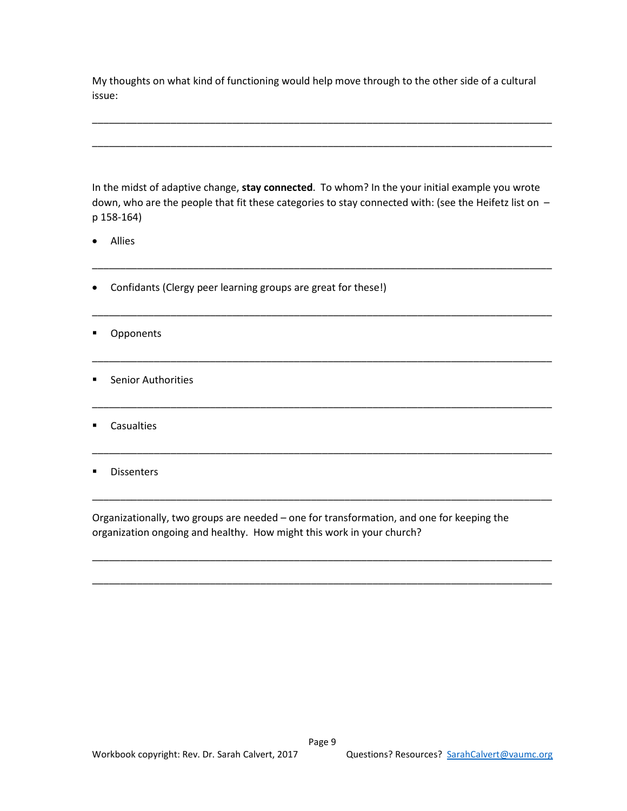My thoughts on what kind of functioning would help move through to the other side of a cultural issue:

\_\_\_\_\_\_\_\_\_\_\_\_\_\_\_\_\_\_\_\_\_\_\_\_\_\_\_\_\_\_\_\_\_\_\_\_\_\_\_\_\_\_\_\_\_\_\_\_\_\_\_\_\_\_\_\_\_\_\_\_\_\_\_\_\_\_\_\_\_\_\_\_\_\_\_\_\_\_\_\_\_\_

\_\_\_\_\_\_\_\_\_\_\_\_\_\_\_\_\_\_\_\_\_\_\_\_\_\_\_\_\_\_\_\_\_\_\_\_\_\_\_\_\_\_\_\_\_\_\_\_\_\_\_\_\_\_\_\_\_\_\_\_\_\_\_\_\_\_\_\_\_\_\_\_\_\_\_\_\_\_\_\_\_\_

In the midst of adaptive change, **stay connected**. To whom? In the your initial example you wrote down, who are the people that fit these categories to stay connected with: (see the Heifetz list on p 158-164)

\_\_\_\_\_\_\_\_\_\_\_\_\_\_\_\_\_\_\_\_\_\_\_\_\_\_\_\_\_\_\_\_\_\_\_\_\_\_\_\_\_\_\_\_\_\_\_\_\_\_\_\_\_\_\_\_\_\_\_\_\_\_\_\_\_\_\_\_\_\_\_\_\_\_\_\_\_\_\_\_\_\_

\_\_\_\_\_\_\_\_\_\_\_\_\_\_\_\_\_\_\_\_\_\_\_\_\_\_\_\_\_\_\_\_\_\_\_\_\_\_\_\_\_\_\_\_\_\_\_\_\_\_\_\_\_\_\_\_\_\_\_\_\_\_\_\_\_\_\_\_\_\_\_\_\_\_\_\_\_\_\_\_\_\_

\_\_\_\_\_\_\_\_\_\_\_\_\_\_\_\_\_\_\_\_\_\_\_\_\_\_\_\_\_\_\_\_\_\_\_\_\_\_\_\_\_\_\_\_\_\_\_\_\_\_\_\_\_\_\_\_\_\_\_\_\_\_\_\_\_\_\_\_\_\_\_\_\_\_\_\_\_\_\_\_\_\_

\_\_\_\_\_\_\_\_\_\_\_\_\_\_\_\_\_\_\_\_\_\_\_\_\_\_\_\_\_\_\_\_\_\_\_\_\_\_\_\_\_\_\_\_\_\_\_\_\_\_\_\_\_\_\_\_\_\_\_\_\_\_\_\_\_\_\_\_\_\_\_\_\_\_\_\_\_\_\_\_\_\_

\_\_\_\_\_\_\_\_\_\_\_\_\_\_\_\_\_\_\_\_\_\_\_\_\_\_\_\_\_\_\_\_\_\_\_\_\_\_\_\_\_\_\_\_\_\_\_\_\_\_\_\_\_\_\_\_\_\_\_\_\_\_\_\_\_\_\_\_\_\_\_\_\_\_\_\_\_\_\_\_\_\_

\_\_\_\_\_\_\_\_\_\_\_\_\_\_\_\_\_\_\_\_\_\_\_\_\_\_\_\_\_\_\_\_\_\_\_\_\_\_\_\_\_\_\_\_\_\_\_\_\_\_\_\_\_\_\_\_\_\_\_\_\_\_\_\_\_\_\_\_\_\_\_\_\_\_\_\_\_\_\_\_\_\_

\_\_\_\_\_\_\_\_\_\_\_\_\_\_\_\_\_\_\_\_\_\_\_\_\_\_\_\_\_\_\_\_\_\_\_\_\_\_\_\_\_\_\_\_\_\_\_\_\_\_\_\_\_\_\_\_\_\_\_\_\_\_\_\_\_\_\_\_\_\_\_\_\_\_\_\_\_\_\_\_\_\_

\_\_\_\_\_\_\_\_\_\_\_\_\_\_\_\_\_\_\_\_\_\_\_\_\_\_\_\_\_\_\_\_\_\_\_\_\_\_\_\_\_\_\_\_\_\_\_\_\_\_\_\_\_\_\_\_\_\_\_\_\_\_\_\_\_\_\_\_\_\_\_\_\_\_\_\_\_\_\_\_\_\_

- Allies
- Confidants (Clergy peer learning groups are great for these!)
- **•** Opponents
- **Senior Authorities**
- **Casualties**
- **Dissenters**

Organizationally, two groups are needed – one for transformation, and one for keeping the organization ongoing and healthy. How might this work in your church?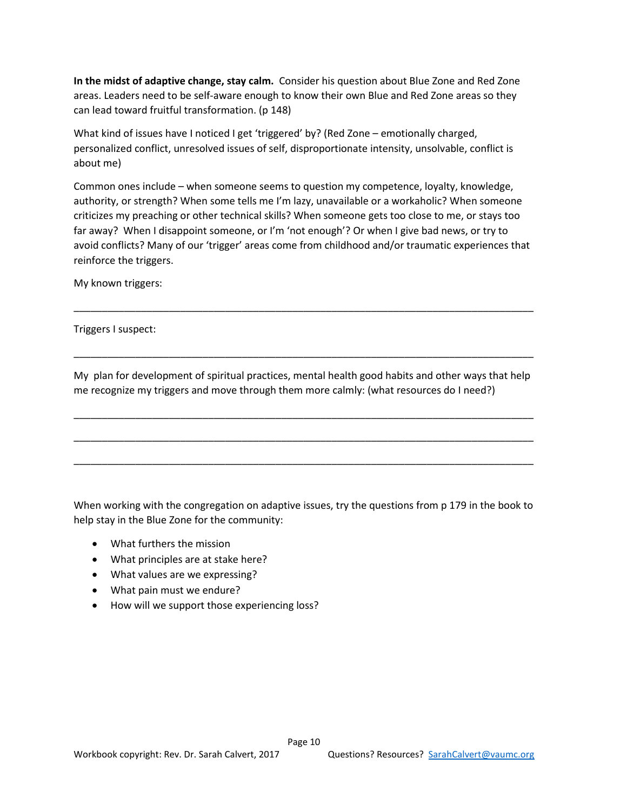**In the midst of adaptive change, stay calm.** Consider his question about Blue Zone and Red Zone areas. Leaders need to be self-aware enough to know their own Blue and Red Zone areas so they can lead toward fruitful transformation. (p 148)

What kind of issues have I noticed I get 'triggered' by? (Red Zone – emotionally charged, personalized conflict, unresolved issues of self, disproportionate intensity, unsolvable, conflict is about me)

Common ones include – when someone seems to question my competence, loyalty, knowledge, authority, or strength? When some tells me I'm lazy, unavailable or a workaholic? When someone criticizes my preaching or other technical skills? When someone gets too close to me, or stays too far away? When I disappoint someone, or I'm 'not enough'? Or when I give bad news, or try to avoid conflicts? Many of our 'trigger' areas come from childhood and/or traumatic experiences that reinforce the triggers.

My known triggers:

Triggers I suspect:

My plan for development of spiritual practices, mental health good habits and other ways that help me recognize my triggers and move through them more calmly: (what resources do I need?)

\_\_\_\_\_\_\_\_\_\_\_\_\_\_\_\_\_\_\_\_\_\_\_\_\_\_\_\_\_\_\_\_\_\_\_\_\_\_\_\_\_\_\_\_\_\_\_\_\_\_\_\_\_\_\_\_\_\_\_\_\_\_\_\_\_\_\_\_\_\_\_\_\_\_\_\_\_\_\_\_\_\_

\_\_\_\_\_\_\_\_\_\_\_\_\_\_\_\_\_\_\_\_\_\_\_\_\_\_\_\_\_\_\_\_\_\_\_\_\_\_\_\_\_\_\_\_\_\_\_\_\_\_\_\_\_\_\_\_\_\_\_\_\_\_\_\_\_\_\_\_\_\_\_\_\_\_\_\_\_\_\_\_\_\_

\_\_\_\_\_\_\_\_\_\_\_\_\_\_\_\_\_\_\_\_\_\_\_\_\_\_\_\_\_\_\_\_\_\_\_\_\_\_\_\_\_\_\_\_\_\_\_\_\_\_\_\_\_\_\_\_\_\_\_\_\_\_\_\_\_\_\_\_\_\_\_\_\_\_\_\_\_\_\_\_\_\_

\_\_\_\_\_\_\_\_\_\_\_\_\_\_\_\_\_\_\_\_\_\_\_\_\_\_\_\_\_\_\_\_\_\_\_\_\_\_\_\_\_\_\_\_\_\_\_\_\_\_\_\_\_\_\_\_\_\_\_\_\_\_\_\_\_\_\_\_\_\_\_\_\_\_\_\_\_\_\_\_\_\_

\_\_\_\_\_\_\_\_\_\_\_\_\_\_\_\_\_\_\_\_\_\_\_\_\_\_\_\_\_\_\_\_\_\_\_\_\_\_\_\_\_\_\_\_\_\_\_\_\_\_\_\_\_\_\_\_\_\_\_\_\_\_\_\_\_\_\_\_\_\_\_\_\_\_\_\_\_\_\_\_\_\_

When working with the congregation on adaptive issues, try the questions from p 179 in the book to help stay in the Blue Zone for the community:

- What furthers the mission
- What principles are at stake here?
- What values are we expressing?
- What pain must we endure?
- How will we support those experiencing loss?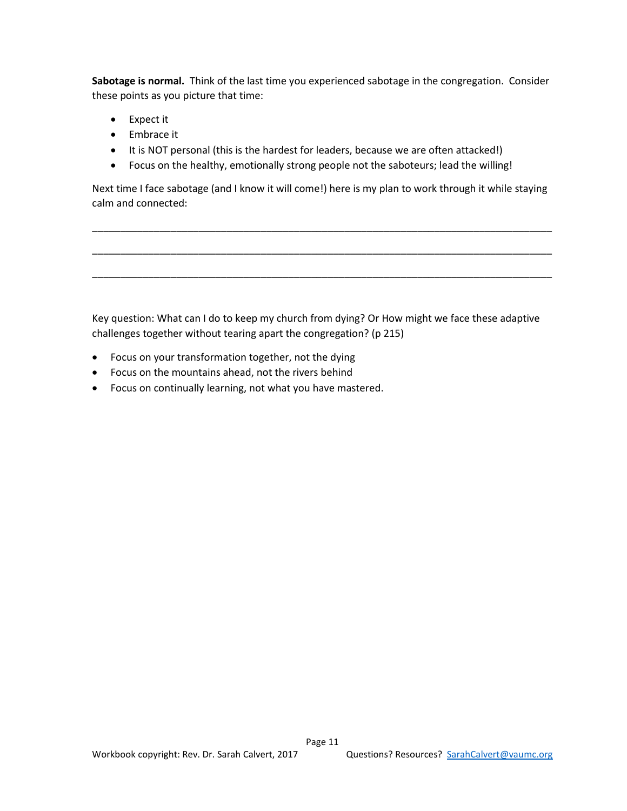**Sabotage is normal.** Think of the last time you experienced sabotage in the congregation. Consider these points as you picture that time:

- Expect it
- Embrace it
- It is NOT personal (this is the hardest for leaders, because we are often attacked!)
- Focus on the healthy, emotionally strong people not the saboteurs; lead the willing!

Next time I face sabotage (and I know it will come!) here is my plan to work through it while staying calm and connected:

\_\_\_\_\_\_\_\_\_\_\_\_\_\_\_\_\_\_\_\_\_\_\_\_\_\_\_\_\_\_\_\_\_\_\_\_\_\_\_\_\_\_\_\_\_\_\_\_\_\_\_\_\_\_\_\_\_\_\_\_\_\_\_\_\_\_\_\_\_\_\_\_\_\_\_\_\_\_\_\_\_\_

\_\_\_\_\_\_\_\_\_\_\_\_\_\_\_\_\_\_\_\_\_\_\_\_\_\_\_\_\_\_\_\_\_\_\_\_\_\_\_\_\_\_\_\_\_\_\_\_\_\_\_\_\_\_\_\_\_\_\_\_\_\_\_\_\_\_\_\_\_\_\_\_\_\_\_\_\_\_\_\_\_\_

\_\_\_\_\_\_\_\_\_\_\_\_\_\_\_\_\_\_\_\_\_\_\_\_\_\_\_\_\_\_\_\_\_\_\_\_\_\_\_\_\_\_\_\_\_\_\_\_\_\_\_\_\_\_\_\_\_\_\_\_\_\_\_\_\_\_\_\_\_\_\_\_\_\_\_\_\_\_\_\_\_\_

Key question: What can I do to keep my church from dying? Or How might we face these adaptive challenges together without tearing apart the congregation? (p 215)

- Focus on your transformation together, not the dying
- Focus on the mountains ahead, not the rivers behind
- Focus on continually learning, not what you have mastered.